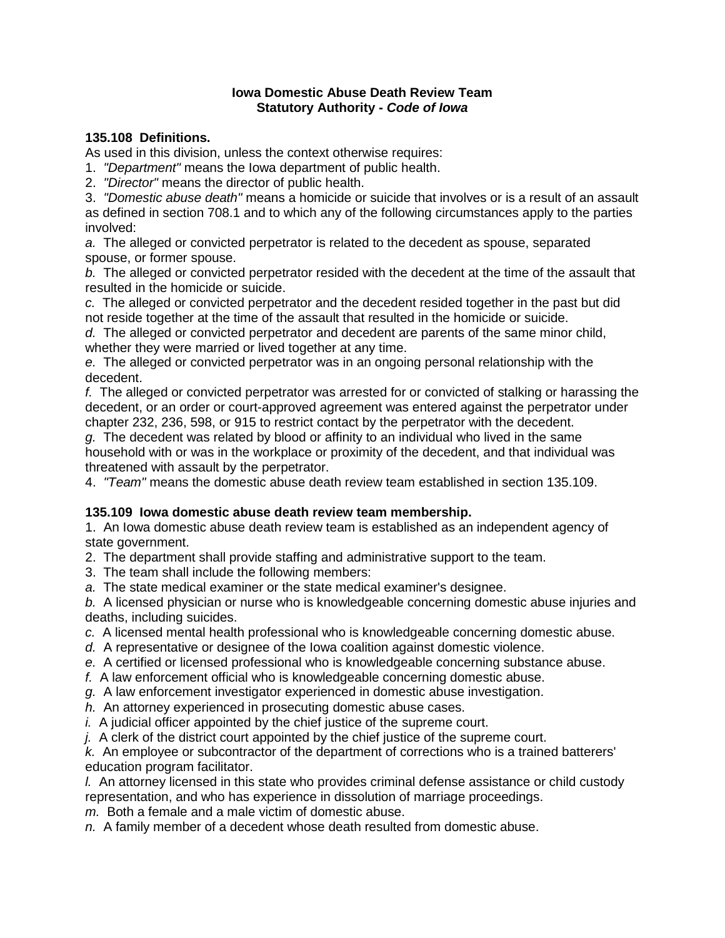### **Iowa Domestic Abuse Death Review Team Statutory Authority -** *Code of Iowa*

# **135.108 Definitions.**

As used in this division, unless the context otherwise requires:

1. *"Department"* means the Iowa department of public health.

2. *"Director"* means the director of public health.

3. *"Domestic abuse death"* means a homicide or suicide that involves or is a result of an assault as defined in section 708.1 and to which any of the following circumstances apply to the parties involved:

*a.* The alleged or convicted perpetrator is related to the decedent as spouse, separated spouse, or former spouse.

*b.* The alleged or convicted perpetrator resided with the decedent at the time of the assault that resulted in the homicide or suicide.

*c.* The alleged or convicted perpetrator and the decedent resided together in the past but did not reside together at the time of the assault that resulted in the homicide or suicide.

*d.* The alleged or convicted perpetrator and decedent are parents of the same minor child, whether they were married or lived together at any time.

*e.* The alleged or convicted perpetrator was in an ongoing personal relationship with the decedent.

*f.* The alleged or convicted perpetrator was arrested for or convicted of stalking or harassing the decedent, or an order or court-approved agreement was entered against the perpetrator under chapter 232, 236, 598, or 915 to restrict contact by the perpetrator with the decedent.

*g.* The decedent was related by blood or affinity to an individual who lived in the same household with or was in the workplace or proximity of the decedent, and that individual was threatened with assault by the perpetrator.

4. *"Team"* means the domestic abuse death review team established in section 135.109.

### **135.109 Iowa domestic abuse death review team membership.**

1. An Iowa domestic abuse death review team is established as an independent agency of state government.

2. The department shall provide staffing and administrative support to the team.

3. The team shall include the following members:

*a.* The state medical examiner or the state medical examiner's designee.

*b.* A licensed physician or nurse who is knowledgeable concerning domestic abuse injuries and deaths, including suicides.

- *c.* A licensed mental health professional who is knowledgeable concerning domestic abuse.
- *d.* A representative or designee of the Iowa coalition against domestic violence.
- *e.* A certified or licensed professional who is knowledgeable concerning substance abuse.
- *f.* A law enforcement official who is knowledgeable concerning domestic abuse.
- *g.* A law enforcement investigator experienced in domestic abuse investigation.
- *h.* An attorney experienced in prosecuting domestic abuse cases.
- *i.* A judicial officer appointed by the chief justice of the supreme court.

*j.* A clerk of the district court appointed by the chief justice of the supreme court.

*k.* An employee or subcontractor of the department of corrections who is a trained batterers' education program facilitator.

*l.* An attorney licensed in this state who provides criminal defense assistance or child custody representation, and who has experience in dissolution of marriage proceedings.

*m.* Both a female and a male victim of domestic abuse.

*n.* A family member of a decedent whose death resulted from domestic abuse.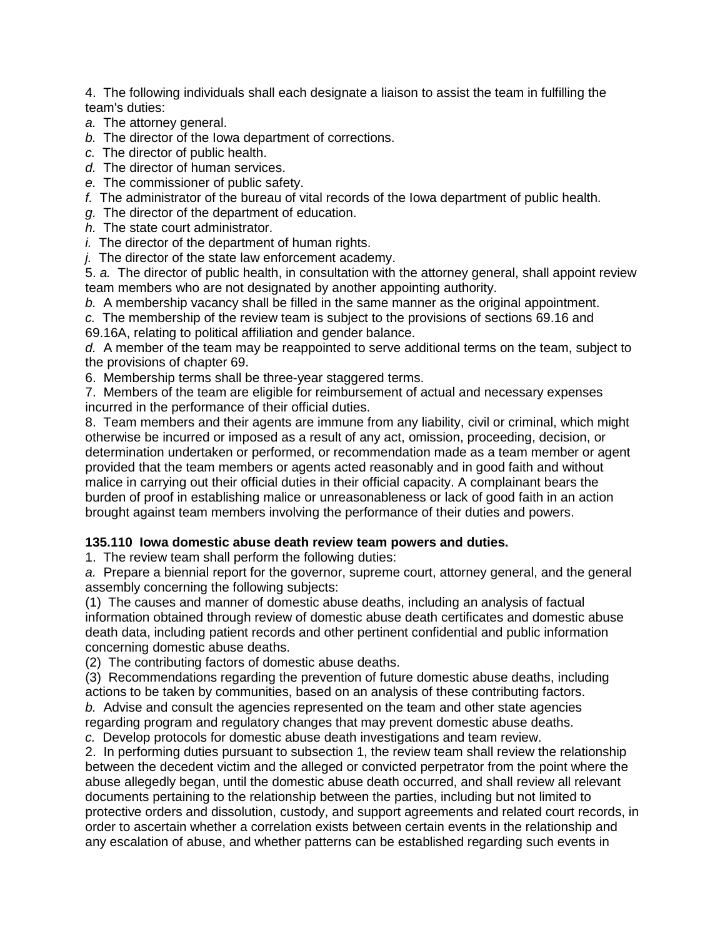4. The following individuals shall each designate a liaison to assist the team in fulfilling the team's duties:

- *a.* The attorney general.
- *b.* The director of the Iowa department of corrections.
- *c.* The director of public health.
- *d.* The director of human services.
- *e.* The commissioner of public safety.
- *f.* The administrator of the bureau of vital records of the Iowa department of public health.
- *g.* The director of the department of education.
- *h.* The state court administrator.
- *i.* The director of the department of human rights.
- *j.* The director of the state law enforcement academy.

5. *a.* The director of public health, in consultation with the attorney general, shall appoint review team members who are not designated by another appointing authority.

- *b.* A membership vacancy shall be filled in the same manner as the original appointment.
- *c.* The membership of the review team is subject to the provisions of sections 69.16 and

69.16A, relating to political affiliation and gender balance.

*d.* A member of the team may be reappointed to serve additional terms on the team, subject to the provisions of chapter 69.

6. Membership terms shall be three-year staggered terms.

7. Members of the team are eligible for reimbursement of actual and necessary expenses incurred in the performance of their official duties.

8. Team members and their agents are immune from any liability, civil or criminal, which might otherwise be incurred or imposed as a result of any act, omission, proceeding, decision, or determination undertaken or performed, or recommendation made as a team member or agent provided that the team members or agents acted reasonably and in good faith and without malice in carrying out their official duties in their official capacity. A complainant bears the burden of proof in establishing malice or unreasonableness or lack of good faith in an action brought against team members involving the performance of their duties and powers.

# **135.110 Iowa domestic abuse death review team powers and duties.**

1. The review team shall perform the following duties:

*a.* Prepare a biennial report for the governor, supreme court, attorney general, and the general assembly concerning the following subjects:

(1) The causes and manner of domestic abuse deaths, including an analysis of factual information obtained through review of domestic abuse death certificates and domestic abuse death data, including patient records and other pertinent confidential and public information concerning domestic abuse deaths.

(2) The contributing factors of domestic abuse deaths.

(3) Recommendations regarding the prevention of future domestic abuse deaths, including actions to be taken by communities, based on an analysis of these contributing factors.

*b.* Advise and consult the agencies represented on the team and other state agencies regarding program and regulatory changes that may prevent domestic abuse deaths.

*c.* Develop protocols for domestic abuse death investigations and team review.

2. In performing duties pursuant to subsection 1, the review team shall review the relationship between the decedent victim and the alleged or convicted perpetrator from the point where the abuse allegedly began, until the domestic abuse death occurred, and shall review all relevant documents pertaining to the relationship between the parties, including but not limited to protective orders and dissolution, custody, and support agreements and related court records, in order to ascertain whether a correlation exists between certain events in the relationship and any escalation of abuse, and whether patterns can be established regarding such events in